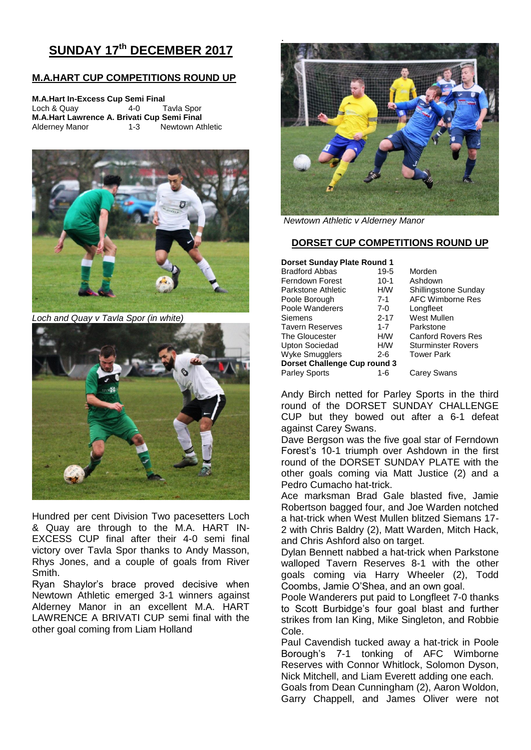# **SUNDAY 17th DECEMBER 2017**

## **M.A.HART CUP COMPETITIONS ROUND UP**

| <b>M.A.Hart In-Excess Cup Semi Final</b>    |         |                  |  |  |  |  |  |
|---------------------------------------------|---------|------------------|--|--|--|--|--|
| Loch & Quay                                 | $4-0$   | Tavla Spor       |  |  |  |  |  |
| M.A.Hart Lawrence A. Brivati Cup Semi Final |         |                  |  |  |  |  |  |
| <b>Alderney Manor</b>                       | $1 - 3$ | Newtown Athletic |  |  |  |  |  |



*Loch and Quay v Tavla Spor (in white)*



Hundred per cent Division Two pacesetters Loch & Quay are through to the M.A. HART IN-EXCESS CUP final after their 4-0 semi final victory over Tavla Spor thanks to Andy Masson, Rhys Jones, and a couple of goals from River Smith.

Ryan Shaylor's brace proved decisive when Newtown Athletic emerged 3-1 winners against Alderney Manor in an excellent M.A. HART LAWRENCE A BRIVATI CUP semi final with the other goal coming from Liam Holland



*Newtown Athletic v Alderney Manor*

### **DORSET CUP COMPETITIONS ROUND UP**

| <b>Dorset Sunday Plate Round 1</b> |                           |  |  |  |
|------------------------------------|---------------------------|--|--|--|
| $19 - 5$                           | Morden                    |  |  |  |
| $10-1$                             | Ashdown                   |  |  |  |
| H/W                                | Shillingstone Sunday      |  |  |  |
| $7 - 1$                            | AFC Wimborne Res          |  |  |  |
| $7-0$                              | Longfleet                 |  |  |  |
| $2 - 17$                           | West Mullen               |  |  |  |
| $1 - 7$                            | Parkstone                 |  |  |  |
| H/W                                | <b>Canford Rovers Res</b> |  |  |  |
| H/W                                | <b>Sturminster Rovers</b> |  |  |  |
| $2-6$                              | <b>Tower Park</b>         |  |  |  |
| Dorset Challenge Cup round 3       |                           |  |  |  |
| 1-6                                | Carey Swans               |  |  |  |
|                                    |                           |  |  |  |

Andy Birch netted for Parley Sports in the third round of the DORSET SUNDAY CHALLENGE CUP but they bowed out after a 6-1 defeat against Carey Swans.

Dave Bergson was the five goal star of Ferndown Forest's 10-1 triumph over Ashdown in the first round of the DORSET SUNDAY PLATE with the other goals coming via Matt Justice (2) and a Pedro Cumacho hat-trick.

Ace marksman Brad Gale blasted five, Jamie Robertson bagged four, and Joe Warden notched a hat-trick when West Mullen blitzed Siemans 17- 2 with Chris Baldry (2), Matt Warden, Mitch Hack, and Chris Ashford also on target.

Dylan Bennett nabbed a hat-trick when Parkstone walloped Tavern Reserves 8-1 with the other goals coming via Harry Wheeler (2), Todd Coombs, Jamie O'Shea, and an own goal.

Poole Wanderers put paid to Longfleet 7-0 thanks to Scott Burbidge's four goal blast and further strikes from Ian King, Mike Singleton, and Robbie Cole.

Paul Cavendish tucked away a hat-trick in Poole Borough's 7-1 tonking of AFC Wimborne Reserves with Connor Whitlock, Solomon Dyson, Nick Mitchell, and Liam Everett adding one each.

Goals from Dean Cunningham (2), Aaron Woldon, Garry Chappell, and James Oliver were not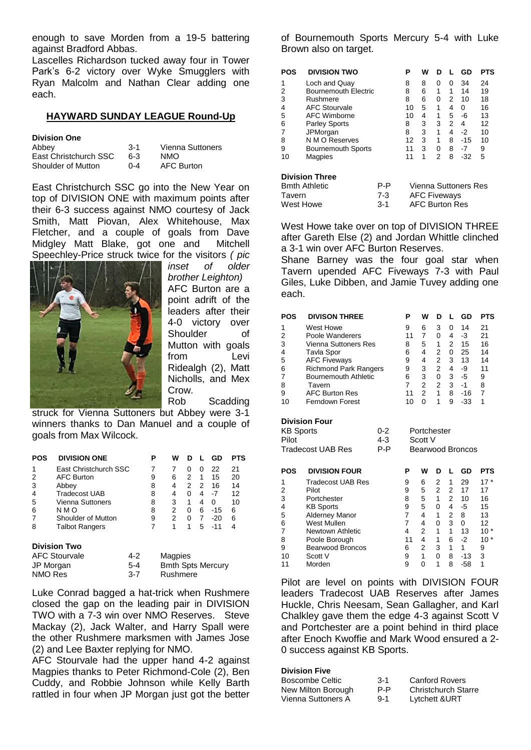enough to save Morden from a 19-5 battering against Bradford Abbas.

Lascelles Richardson tucked away four in Tower Park's 6-2 victory over Wyke Smugglers with Ryan Malcolm and Nathan Clear adding one each.

## **HAYWARD SUNDAY LEAGUE Round-Up**

|  | <b>Division One</b> |  |  |  |
|--|---------------------|--|--|--|
|  |                     |  |  |  |

| Abbev                 | $3-1$   | Vienna Suttoners  |
|-----------------------|---------|-------------------|
| East Christchurch SSC | 6-3     | NMO.              |
| Shoulder of Mutton    | $0 - 4$ | <b>AFC Burton</b> |

East Christchurch SSC go into the New Year on top of DIVISION ONE with maximum points after their 6-3 success against NMO courtesy of Jack Smith, Matt Piovan, Alex Whitehouse, Max Fletcher, and a couple of goals from Dave Midgley Matt Blake, got one and Mitchell Speechley-Price struck twice for the visitors *( pic* 



*inset of older brother Leighton)* AFC Burton are a point adrift of the leaders after their 4-0 victory over Shoulder of Mutton with goals from Levi Ridealgh (2), Matt Nicholls, and Mex Crow. Rob Scadding

struck for Vienna Suttoners but Abbey were 3-1 winners thanks to Dan Manuel and a couple of goals from Max Wilcock.

| POS       | <b>DIVISION ONE</b>   |         | Р | w                                    | D |   | GD    | <b>PTS</b> |
|-----------|-----------------------|---------|---|--------------------------------------|---|---|-------|------------|
| 1         | East Christchurch SSC |         | 7 | 7                                    | 0 | 0 | 22    | 21         |
| 2         | <b>AFC Burton</b>     |         | 9 | 6                                    | 2 | 1 | 15    | 20         |
| 3         | Abbey                 |         | 8 | 4                                    | 2 | 2 | 16    | 14         |
| 4         | <b>Tradecost UAB</b>  |         | 8 | 4                                    | 0 | 4 | -7    | 12         |
| 5         | Vienna Suttoners      |         | 8 | 3                                    | 1 | 4 | 0     | 10         |
| 6         | N M O                 |         | 8 | 2                                    | 0 | 6 | $-15$ | 6          |
|           | Shoulder of Mutton    |         | 9 | 2                                    | 0 | 7 | $-20$ | 6          |
| 8         | <b>Talbot Rangers</b> |         | 7 | 1                                    | 1 | 5 | $-11$ | 4          |
|           | <b>Division Two</b>   |         |   |                                      |   |   |       |            |
|           | <b>AFC Stourvale</b>  | $4-2$   |   | Magpies                              |   |   |       |            |
| JP Morgan |                       | 5-4     |   |                                      |   |   |       |            |
| NMO Res   |                       | $3 - 7$ |   | <b>Bmth Spts Mercury</b><br>Rushmere |   |   |       |            |

Luke Conrad bagged a hat-trick when Rushmere closed the gap on the leading pair in DIVISION TWO with a 7-3 win over NMO Reserves. Steve Mackay (2), Jack Walter, and Harry Spall were the other Rushmere marksmen with James Jose (2) and Lee Baxter replying for NMO.

AFC Stourvale had the upper hand 4-2 against Magpies thanks to Peter Richmond-Cole (2), Ben Cuddy, and Robbie Johnson while Kelly Barth rattled in four when JP Morgan just got the better of Bournemouth Sports Mercury 5-4 with Luke Brown also on target.

| <b>POS</b> | <b>DIVISION TWO</b>         |     | Ρ  | W                   | n |   | GD                   | <b>PTS</b> |
|------------|-----------------------------|-----|----|---------------------|---|---|----------------------|------------|
| 1          | Loch and Quay               |     | 8  | 8                   | 0 | 0 | 34                   | 24         |
| 2          | <b>Bournemouth Electric</b> |     | 8  | 6                   | 1 | 1 | 14                   | 19         |
| 3          | Rushmere                    |     | 8  | 6                   | 0 | 2 | 10                   | 18         |
| 4          | <b>AFC Stourvale</b>        |     | 10 | 5                   | 1 | 4 | 0                    | 16         |
| 5          | AFC Wimborne                |     | 10 | 4                   | 1 | 5 | -6                   | 13         |
| 6          | <b>Parley Sports</b>        |     | 8  | 3                   | 3 | 2 | 4                    | 12         |
| 7          | JPMorgan                    |     | 8  | 3                   | 1 | 4 | $-2$                 | 10         |
| 8          | N M O Reserves              |     | 12 | 3                   | 1 | 8 | $-15$                | 10         |
| 9          | <b>Bournemouth Sports</b>   |     | 11 | 3                   | 0 | 8 | -7                   | 9          |
| 10         | Magpies                     |     | 11 | 1                   | 2 | 8 | $-32$                | 5          |
|            | <b>Division Three</b>       |     |    |                     |   |   |                      |            |
|            | <b>Bmth Athletic</b>        | P-P |    |                     |   |   | Vienna Suttoners Res |            |
| Tavern     |                             | 7-3 |    | <b>AFC Fiveways</b> |   |   |                      |            |

West Howe take over on top of DIVISION THREE after Gareth Else (2) and Jordan Whittle clinched a 3-1 win over AFC Burton Reserves.

West Howe **3-1** AFC Burton Res

Shane Barney was the four goal star when Tavern upended AFC Fiveways 7-3 with Paul Giles, Luke Dibben, and Jamie Tuvey adding one each.

| <b>POS</b>                                                                                                     | <b>DIVISON THREE</b>                                                                                                                                                                                                         | Ρ                                                              | W                                                                                            | D                                                                                                     | L                                                              | GD                                                                   | <b>PTS</b>                                            |
|----------------------------------------------------------------------------------------------------------------|------------------------------------------------------------------------------------------------------------------------------------------------------------------------------------------------------------------------------|----------------------------------------------------------------|----------------------------------------------------------------------------------------------|-------------------------------------------------------------------------------------------------------|----------------------------------------------------------------|----------------------------------------------------------------------|-------------------------------------------------------|
| 1<br>2<br>3<br>4<br>5<br>6<br>$\overline{7}$<br>8<br>9<br>10                                                   | West Howe<br>Poole Wanderers<br><b>Vienna Suttoners Res</b><br>Tavla Spor<br><b>AFC Fiveways</b><br><b>Richmond Park Rangers</b><br><b>Bournemouth Athletic</b><br>Tavern<br><b>AFC Burton Res</b><br><b>Ferndown Forest</b> | 9<br>11<br>8<br>6<br>9<br>9<br>6<br>$\overline{7}$<br>11<br>10 | 6<br>$\overline{7}$<br>5<br>4<br>4<br>3<br>3<br>$\overline{2}$<br>$\overline{2}$<br>$\Omega$ | 3<br>$\Omega$<br>1<br>2<br>$\overline{\mathbf{c}}$<br>$\overline{c}$<br>0<br>$\overline{2}$<br>1<br>1 | 0<br>4<br>2<br>0<br>3<br>4<br>3<br>3<br>8<br>9                 | 14<br>$-3$<br>15<br>25<br>13<br>-9<br>$-5$<br>$-1$<br>$-16$<br>$-33$ | 21<br>21<br>16<br>14<br>14<br>11<br>9<br>8<br>7<br>1  |
| <b>Division Four</b><br><b>KB Sports</b><br>$0 - 2$<br>$4 - 3$<br>Pilot<br>$P - P$<br><b>Tradecost UAB Res</b> |                                                                                                                                                                                                                              | Portchester<br>Scott V<br><b>Bearwood Broncos</b>              |                                                                                              |                                                                                                       |                                                                |                                                                      |                                                       |
| <b>POS</b>                                                                                                     | <b>DIVISION FOUR</b>                                                                                                                                                                                                         | P                                                              | W                                                                                            | D                                                                                                     | L                                                              | GD                                                                   | <b>PTS</b>                                            |
| 1<br>2<br>3<br>4<br>5<br>6<br>$\overline{7}$<br>8                                                              | <b>Tradecost UAB Res</b><br>Pilot<br>Portchester<br><b>KB Sports</b><br>Alderney Manor<br>West Mullen<br>Newtown Athletic<br>Poole Borough                                                                                   | 9<br>9<br>8<br>9<br>7<br>$\overline{7}$<br>4<br>11             | 6<br>5<br>5<br>5<br>4<br>4<br>$\overline{2}$<br>4                                            | 2<br>$\overline{2}$<br>1<br>0<br>1<br>0<br>1<br>1                                                     | 1<br>$\overline{2}$<br>$\overline{2}$<br>4<br>2<br>3<br>1<br>6 | 29<br>17<br>10<br>$-5$<br>8<br>0<br>13<br>$-2$                       | $17*$<br>17<br>16<br>15<br>13<br>12<br>$10*$<br>$10*$ |

Pilot are level on points with DIVISION FOUR leaders Tradecost UAB Reserves after James Huckle, Chris Neesam, Sean Gallagher, and Karl Chalkley gave them the edge 4-3 against Scott V and Portchester are a point behind in third place after Enoch Kwoffie and Mark Wood ensured a 2- 0 success against KB Sports.

#### **Division Five**

| Boscombe Celtic    | $3-1$   | <b>Canford Rovers</b>      |
|--------------------|---------|----------------------------|
| New Milton Borough | P-P     | <b>Christchurch Starre</b> |
| Vienna Suttoners A | $9 - 1$ | Lytchett & URT             |